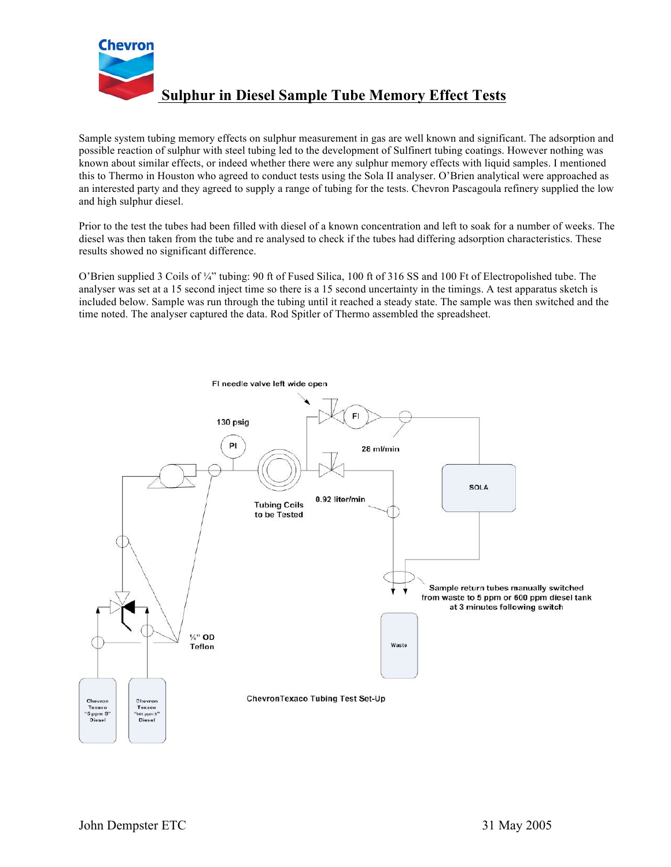

**Sulphur in Diesel Sample Tube Memory Effect Tests**

Sample system tubing memory effects on sulphur measurement in gas are well known and significant. The adsorption and possible reaction of sulphur with steel tubing led to the development of Sulfinert tubing coatings. However nothing was known about similar effects, or indeed whether there were any sulphur memory effects with liquid samples. I mentioned this to Thermo in Houston who agreed to conduct tests using the Sola II analyser. O'Brien analytical were approached as an interested party and they agreed to supply a range of tubing for the tests. Chevron Pascagoula refinery supplied the low and high sulphur diesel.

Prior to the test the tubes had been filled with diesel of a known concentration and left to soak for a number of weeks. The diesel was then taken from the tube and re analysed to check if the tubes had differing adsorption characteristics. These results showed no significant difference.

O'Brien supplied 3 Coils of ¼" tubing: 90 ft of Fused Silica, 100 ft of 316 SS and 100 Ft of Electropolished tube. The analyser was set at a 15 second inject time so there is a 15 second uncertainty in the timings. A test apparatus sketch is included below. Sample was run through the tubing until it reached a steady state. The sample was then switched and the time noted. The analyser captured the data. Rod Spitler of Thermo assembled the spreadsheet.

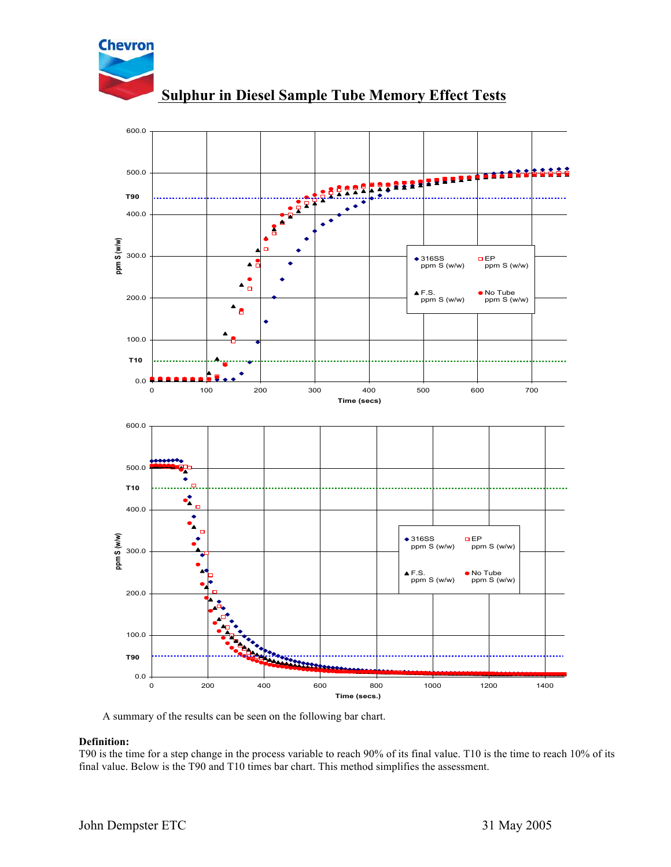

**Sulphur in Diesel Sample Tube Memory Effect Tests**



A summary of the results can be seen on the following bar chart.

## **Definition:**

T90 is the time for a step change in the process variable to reach 90% of its final value. T10 is the time to reach 10% of its final value. Below is the T90 and T10 times bar chart. This method simplifies the assessment.